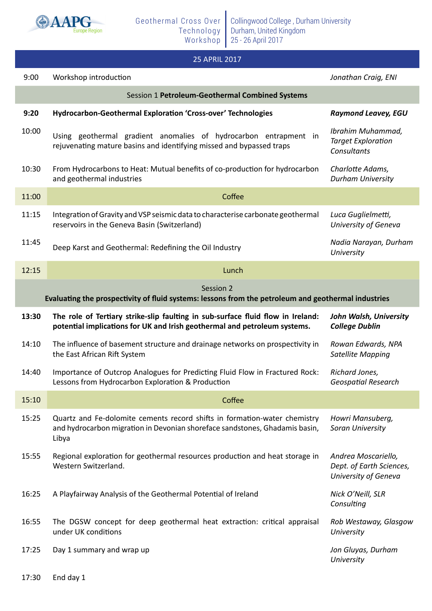

## 25 APRIL 2017

| 9:00                                                                                                             | Workshop introduction                                                                                                                                             | Jonathan Craig, ENI                                                     |  |
|------------------------------------------------------------------------------------------------------------------|-------------------------------------------------------------------------------------------------------------------------------------------------------------------|-------------------------------------------------------------------------|--|
| Session 1 Petroleum-Geothermal Combined Systems                                                                  |                                                                                                                                                                   |                                                                         |  |
| 9:20                                                                                                             | Hydrocarbon-Geothermal Exploration 'Cross-over' Technologies                                                                                                      | <b>Raymond Leavey, EGU</b>                                              |  |
| 10:00                                                                                                            | Using geothermal gradient anomalies of hydrocarbon entrapment in<br>rejuvenating mature basins and identifying missed and bypassed traps                          | Ibrahim Muhammad,<br><b>Target Exploration</b><br>Consultants           |  |
| 10:30                                                                                                            | From Hydrocarbons to Heat: Mutual benefits of co-production for hydrocarbon<br>and geothermal industries                                                          | Charlotte Adams,<br><b>Durham University</b>                            |  |
| 11:00                                                                                                            | Coffee                                                                                                                                                            |                                                                         |  |
| 11:15                                                                                                            | Integration of Gravity and VSP seismic data to characterise carbonate geothermal<br>reservoirs in the Geneva Basin (Switzerland)                                  | Luca Guglielmetti,<br>University of Geneva                              |  |
| 11:45                                                                                                            | Deep Karst and Geothermal: Redefining the Oil Industry                                                                                                            | Nadia Narayan, Durham<br>University                                     |  |
| 12:15                                                                                                            | Lunch                                                                                                                                                             |                                                                         |  |
| Session 2<br>Evaluating the prospectivity of fluid systems: lessons from the petroleum and geothermal industries |                                                                                                                                                                   |                                                                         |  |
| 13:30                                                                                                            | The role of Tertiary strike-slip faulting in sub-surface fluid flow in Ireland:<br>potential implications for UK and Irish geothermal and petroleum systems.      | John Walsh, University<br><b>College Dublin</b>                         |  |
| 14:10                                                                                                            | The influence of basement structure and drainage networks on prospectivity in<br>the East African Rift System                                                     | Rowan Edwards, NPA<br><b>Satellite Mapping</b>                          |  |
| 14:40                                                                                                            | Importance of Outcrop Analogues for Predicting Fluid Flow in Fractured Rock:<br>Lessons from Hydrocarbon Exploration & Production                                 | Richard Jones,<br><b>Geospatial Research</b>                            |  |
| 15:10                                                                                                            | Coffee                                                                                                                                                            |                                                                         |  |
| 15:25                                                                                                            | Quartz and Fe-dolomite cements record shifts in formation-water chemistry<br>and hydrocarbon migration in Devonian shoreface sandstones, Ghadamis basin,<br>Libya | Howri Mansuberg,<br>Soran University                                    |  |
| 15:55                                                                                                            | Regional exploration for geothermal resources production and heat storage in<br>Western Switzerland.                                                              | Andrea Moscariello,<br>Dept. of Earth Sciences,<br>University of Geneva |  |
| 16:25                                                                                                            | A Playfairway Analysis of the Geothermal Potential of Ireland                                                                                                     | Nick O'Neill, SLR<br>Consulting                                         |  |
| 16:55                                                                                                            | The DGSW concept for deep geothermal heat extraction: critical appraisal<br>under UK conditions                                                                   | Rob Westaway, Glasgow<br>University                                     |  |
| 17:25                                                                                                            | Day 1 summary and wrap up                                                                                                                                         | Jon Gluyas, Durham<br>University                                        |  |